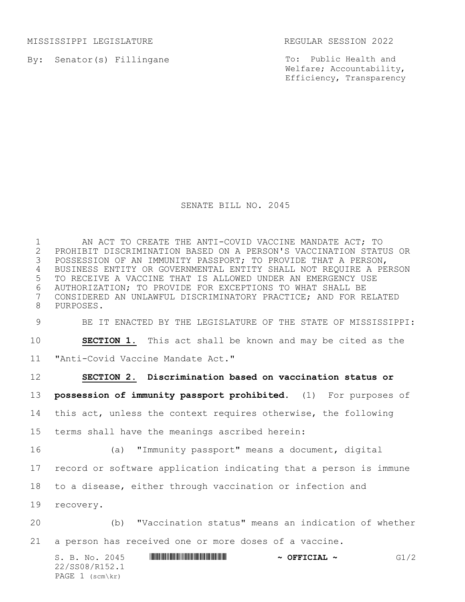MISSISSIPPI LEGISLATURE REGULAR SESSION 2022

By: Senator(s) Fillingane

To: Public Health and Welfare; Accountability, Efficiency, Transparency

## SENATE BILL NO. 2045

 AN ACT TO CREATE THE ANTI-COVID VACCINE MANDATE ACT; TO 2 PROHIBIT DISCRIMINATION BASED ON A PERSON'S VACCINATION STATUS OR<br>3 POSSESSION OF AN IMMUNITY PASSPORT; TO PROVIDE THAT A PERSON, POSSESSION OF AN IMMUNITY PASSPORT; TO PROVIDE THAT A PERSON, BUSINESS ENTITY OR GOVERNMENTAL ENTITY SHALL NOT REQUIRE A PERSON TO RECEIVE A VACCINE THAT IS ALLOWED UNDER AN EMERGENCY USE 6 AUTHORIZATION; TO PROVIDE FOR EXCEPTIONS TO WHAT SHALL BE<br>7 CONSIDERED AN UNLAWFUL DISCRIMINATORY PRACTICE; AND FOR R CONSIDERED AN UNLAWFUL DISCRIMINATORY PRACTICE; AND FOR RELATED PURPOSES.

BE IT ENACTED BY THE LEGISLATURE OF THE STATE OF MISSISSIPPI:

**SECTION 1.** This act shall be known and may be cited as the

"Anti-Covid Vaccine Mandate Act."

PAGE 1 (scm\kr)

 $S. B. No. 2045$  **\*Social 2010 61/2**  $\sim$  **OFFICIAL ~** G1/2 22/SS08/R152.1 **SECTION 2. Discrimination based on vaccination status or possession of immunity passport prohibited.** (1) For purposes of this act, unless the context requires otherwise, the following terms shall have the meanings ascribed herein: (a) "Immunity passport" means a document, digital record or software application indicating that a person is immune to a disease, either through vaccination or infection and recovery. (b) "Vaccination status" means an indication of whether a person has received one or more doses of a vaccine.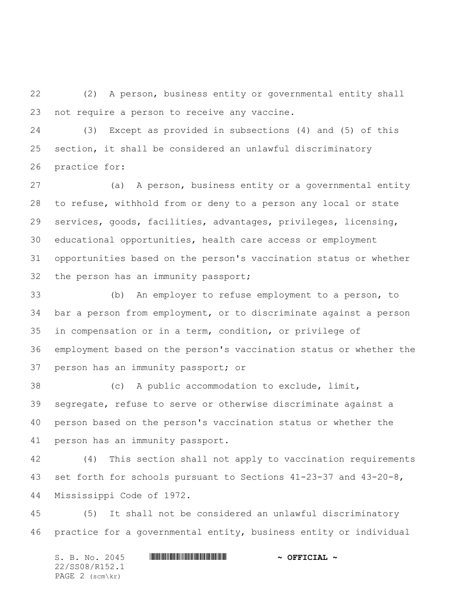(2) A person, business entity or governmental entity shall not require a person to receive any vaccine.

 (3) Except as provided in subsections (4) and (5) of this section, it shall be considered an unlawful discriminatory practice for:

 (a) A person, business entity or a governmental entity to refuse, withhold from or deny to a person any local or state services, goods, facilities, advantages, privileges, licensing, educational opportunities, health care access or employment opportunities based on the person's vaccination status or whether the person has an immunity passport;

 (b) An employer to refuse employment to a person, to bar a person from employment, or to discriminate against a person in compensation or in a term, condition, or privilege of employment based on the person's vaccination status or whether the person has an immunity passport; or

 (c) A public accommodation to exclude, limit, segregate, refuse to serve or otherwise discriminate against a person based on the person's vaccination status or whether the person has an immunity passport.

 (4) This section shall not apply to vaccination requirements set forth for schools pursuant to Sections 41-23-37 and 43-20-8, Mississippi Code of 1972.

 (5) It shall not be considered an unlawful discriminatory practice for a governmental entity, business entity or individual

S. B. No. 2045 \*SS08/R152.1\* **~ OFFICIAL ~** 22/SS08/R152.1 PAGE 2 (scm\kr)